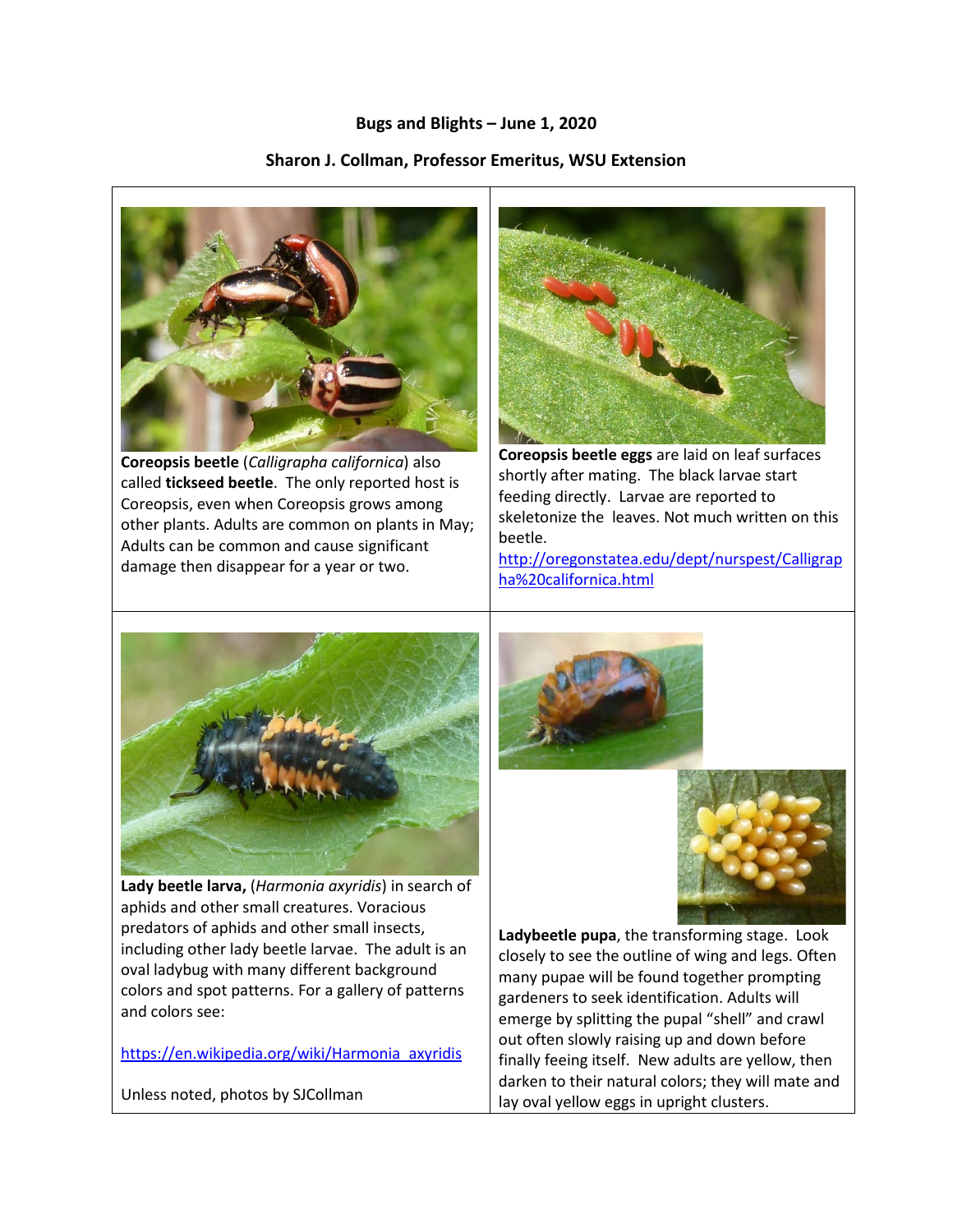## **Bugs and Blights – June 1, 2020**

## **Sharon J. Collman, Professor Emeritus, WSU Extension**



**Coreopsis beetle** (*Calligrapha californica*) also called **tickseed beetle**. The only reported host is Coreopsis, even when Coreopsis grows among other plants. Adults are common on plants in May; Adults can be common and cause significant damage then disappear for a year or two.



**Coreopsis beetle eggs** are laid on leaf surfaces shortly after mating. The black larvae start feeding directly. Larvae are reported to skeletonize the leaves. Not much written on this beetle.

[http://oregonstatea.edu/dept/nurspest/Calligrap](http://oregonstatea.edu/dept/nurspest/Calligrapha%20californica.html) [ha%20californica.html](http://oregonstatea.edu/dept/nurspest/Calligrapha%20californica.html)



**Lady beetle larva,** (*Harmonia axyridis*) in search of aphids and other small creatures. Voracious predators of aphids and other small insects, including other lady beetle larvae. The adult is an oval ladybug with many different background colors and spot patterns. For a gallery of patterns and colors see:

[https://en.wikipedia.org/wiki/Harmonia\\_axyridis](https://en.wikipedia.org/wiki/Harmonia_axyridis)

Unless noted, photos by SJCollman





**Ladybeetle pupa**, the transforming stage. Look closely to see the outline of wing and legs. Often many pupae will be found together prompting gardeners to seek identification. Adults will emerge by splitting the pupal "shell" and crawl out often slowly raising up and down before finally feeing itself. New adults are yellow, then darken to their natural colors; they will mate and lay oval yellow eggs in upright clusters.